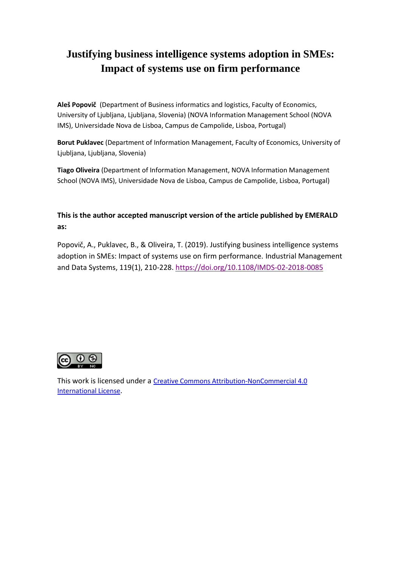# **Justifying business intelligence systems adoption in SMEs: Impact of systems use on firm performance**

**Aleš Popovič** (Department of Business informatics and logistics, Faculty of Economics, University of Ljubljana, Ljubljana, Slovenia) (NOVA Information Management School (NOVA IMS), Universidade Nova de Lisboa, Campus de Campolide, Lisboa, Portugal)

**Borut Puklavec** (Department of Information Management, Faculty of Economics, University of Ljubljana, Ljubljana, Slovenia)

**Tiago Oliveira** (Department of Information Management, NOVA Information Management School (NOVA IMS), Universidade Nova de Lisboa, Campus de Campolide, Lisboa, Portugal)

**This is the author accepted manuscript version of the article published by EMERALD as:** 

Popovič, A., Puklavec, B., & Oliveira, T. (2019). Justifying business intelligence systems adoption in SMEs: Impact of systems use on firm performance. Industrial Management and Data Systems, 119(1), 210-228[. https://doi.org/10.1108/IMDS-02-2018-0085](https://doi.org/10.1108/IMDS-02-2018-0085)



This work is licensed under a [Creative Commons Attribution-NonCommercial 4.0](http://creativecommons.org/licenses/by-nc/4.0/)  [International License](http://creativecommons.org/licenses/by-nc/4.0/).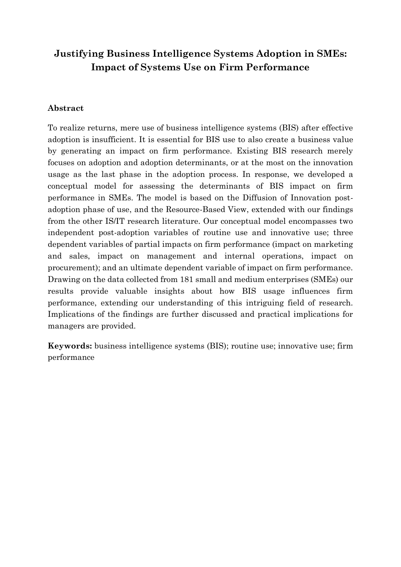# **Justifying Business Intelligence Systems Adoption in SMEs: Impact of Systems Use on Firm Performance**

#### **Abstract**

To realize returns, mere use of business intelligence systems (BIS) after effective adoption is insufficient. It is essential for BIS use to also create a business value by generating an impact on firm performance. Existing BIS research merely focuses on adoption and adoption determinants, or at the most on the innovation usage as the last phase in the adoption process. In response, we developed a conceptual model for assessing the determinants of BIS impact on firm performance in SMEs. The model is based on the Diffusion of Innovation postadoption phase of use, and the Resource-Based View, extended with our findings from the other IS/IT research literature. Our conceptual model encompasses two independent post-adoption variables of routine use and innovative use; three dependent variables of partial impacts on firm performance (impact on marketing and sales, impact on management and internal operations, impact on procurement); and an ultimate dependent variable of impact on firm performance. Drawing on the data collected from 181 small and medium enterprises (SMEs) our results provide valuable insights about how BIS usage influences firm performance, extending our understanding of this intriguing field of research. Implications of the findings are further discussed and practical implications for managers are provided.

**Keywords:** business intelligence systems (BIS); routine use; innovative use; firm performance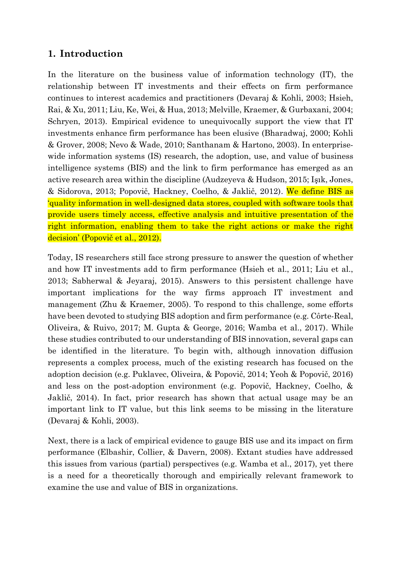# **1. Introduction**

In the literature on the business value of information technology (IT), the relationship between IT investments and their effects on firm performance continues to interest academics and practitioners (Devaraj & Kohli, 2003; Hsieh, Rai, & Xu, 2011; Liu, Ke, Wei, & Hua, 2013; Melville, Kraemer, & Gurbaxani, 2004; Schryen, 2013). Empirical evidence to unequivocally support the view that IT investments enhance firm performance has been elusive (Bharadwaj, 2000; Kohli & Grover, 2008; Nevo & Wade, 2010; Santhanam & Hartono, 2003). In enterprisewide information systems (IS) research, the adoption, use, and value of business intelligence systems (BIS) and the link to firm performance has emerged as an active research area within the discipline (Audzeyeva & Hudson, 2015; Işık, Jones, & Sidorova, 2013; Popovič, Hackney, Coelho, & Jaklič, 2012). We define BIS as 'quality information in well-designed data stores, coupled with software tools that provide users timely access, effective analysis and intuitive presentation of the right information, enabling them to take the right actions or make the right decision' (Popovič et al., 2012).

Today, IS researchers still face strong pressure to answer the question of whether and how IT investments add to firm performance (Hsieh et al., 2011; Liu et al., 2013; Sabherwal & Jeyaraj, 2015). Answers to this persistent challenge have important implications for the way firms approach IT investment and management (Zhu & Kraemer, 2005). To respond to this challenge, some efforts have been devoted to studying BIS adoption and firm performance (e.g. Côrte-Real, Oliveira, & Ruivo, 2017; M. Gupta & George, 2016; Wamba et al., 2017). While these studies contributed to our understanding of BIS innovation, several gaps can be identified in the literature. To begin with, although innovation diffusion represents a complex process, much of the existing research has focused on the adoption decision (e.g. Puklavec, Oliveira, & Popovič, 2014; Yeoh & Popovič, 2016) and less on the post-adoption environment (e.g. Popovič, Hackney, Coelho, & Jaklič, 2014). In fact, prior research has shown that actual usage may be an important link to IT value, but this link seems to be missing in the literature (Devaraj & Kohli, 2003).

Next, there is a lack of empirical evidence to gauge BIS use and its impact on firm performance (Elbashir, Collier, & Davern, 2008). Extant studies have addressed this issues from various (partial) perspectives (e.g. Wamba et al., 2017), yet there is a need for a theoretically thorough and empirically relevant framework to examine the use and value of BIS in organizations.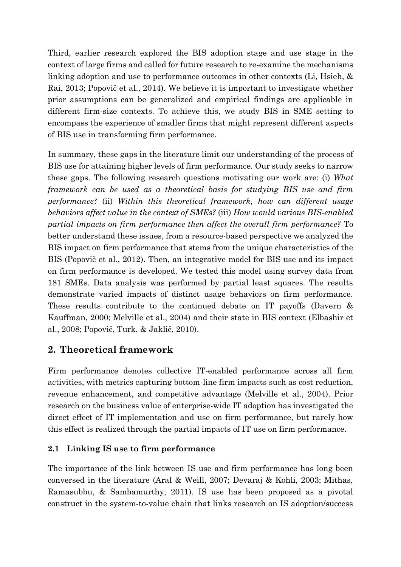Third, earlier research explored the BIS adoption stage and use stage in the context of large firms and called for future research to re-examine the mechanisms linking adoption and use to performance outcomes in other contexts (Li, Hsieh, & Rai, 2013; Popovič et al., 2014). We believe it is important to investigate whether prior assumptions can be generalized and empirical findings are applicable in different firm-size contexts. To achieve this, we study BIS in SME setting to encompass the experience of smaller firms that might represent different aspects of BIS use in transforming firm performance.

In summary, these gaps in the literature limit our understanding of the process of BIS use for attaining higher levels of firm performance. Our study seeks to narrow these gaps. The following research questions motivating our work are: (i) *What framework can be used as a theoretical basis for studying BIS use and firm performance?* (ii) *Within this theoretical framework, how can different usage behaviors affect value in the context of SMEs?* (iii) *How would various BIS-enabled partial impacts on firm performance then affect the overall firm performance?* To better understand these issues, from a resource-based perspective we analyzed the BIS impact on firm performance that stems from the unique characteristics of the BIS (Popovič et al., 2012). Then, an integrative model for BIS use and its impact on firm performance is developed. We tested this model using survey data from 181 SMEs. Data analysis was performed by partial least squares. The results demonstrate varied impacts of distinct usage behaviors on firm performance. These results contribute to the continued debate on IT payoffs (Davern & Kauffman, 2000; Melville et al., 2004) and their state in BIS context (Elbashir et al., 2008; Popovič, Turk, & Jaklič, 2010).

# **2. Theoretical framework**

Firm performance denotes collective IT-enabled performance across all firm activities, with metrics capturing bottom-line firm impacts such as cost reduction, revenue enhancement, and competitive advantage (Melville et al., 2004). Prior research on the business value of enterprise-wide IT adoption has investigated the direct effect of IT implementation and use on firm performance, but rarely how this effect is realized through the partial impacts of IT use on firm performance.

## **2.1 Linking IS use to firm performance**

The importance of the link between IS use and firm performance has long been conversed in the literature (Aral & Weill, 2007; Devaraj & Kohli, 2003; Mithas, Ramasubbu, & Sambamurthy, 2011). IS use has been proposed as a pivotal construct in the system-to-value chain that links research on IS adoption/success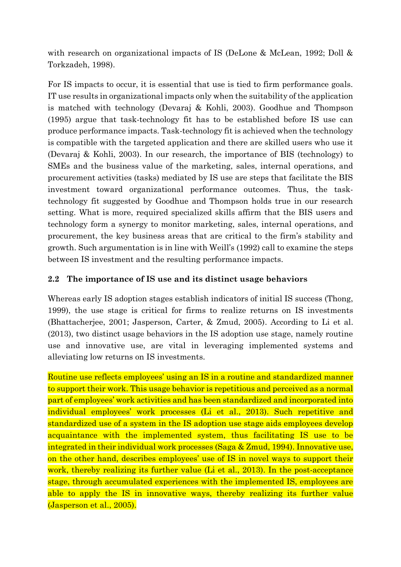with research on organizational impacts of IS (DeLone & McLean, 1992; Doll & Torkzadeh, 1998).

For IS impacts to occur, it is essential that use is tied to firm performance goals. IT use results in organizational impacts only when the suitability of the application is matched with technology (Devaraj & Kohli, 2003). Goodhue and Thompson (1995) argue that task-technology fit has to be established before IS use can produce performance impacts. Task-technology fit is achieved when the technology is compatible with the targeted application and there are skilled users who use it (Devaraj & Kohli, 2003). In our research, the importance of BIS (technology) to SMEs and the business value of the marketing, sales, internal operations, and procurement activities (tasks) mediated by IS use are steps that facilitate the BIS investment toward organizational performance outcomes. Thus, the tasktechnology fit suggested by Goodhue and Thompson holds true in our research setting. What is more, required specialized skills affirm that the BIS users and technology form a synergy to monitor marketing, sales, internal operations, and procurement, the key business areas that are critical to the firm's stability and growth. Such argumentation is in line with Weill's (1992) call to examine the steps between IS investment and the resulting performance impacts.

#### **2.2 The importance of IS use and its distinct usage behaviors**

Whereas early IS adoption stages establish indicators of initial IS success (Thong, 1999), the use stage is critical for firms to realize returns on IS investments (Bhattacherjee, 2001; Jasperson, Carter, & Zmud, 2005). According to Li et al. (2013), two distinct usage behaviors in the IS adoption use stage, namely routine use and innovative use, are vital in leveraging implemented systems and alleviating low returns on IS investments.

Routine use reflects employees' using an IS in a routine and standardized manner to support their work. This usage behavior is repetitious and perceived as a normal part of employees' work activities and has been standardized and incorporated into individual employees' work processes (Li et al., 2013). Such repetitive and standardized use of a system in the IS adoption use stage aids employees develop acquaintance with the implemented system, thus facilitating IS use to be integrated in their individual work processes (Saga & Zmud, 1994). Innovative use, on the other hand, describes employees' use of IS in novel ways to support their work, thereby realizing its further value (Li et al., 2013). In the post-acceptance stage, through accumulated experiences with the implemented IS, employees are able to apply the IS in innovative ways, thereby realizing its further value (Jasperson et al., 2005).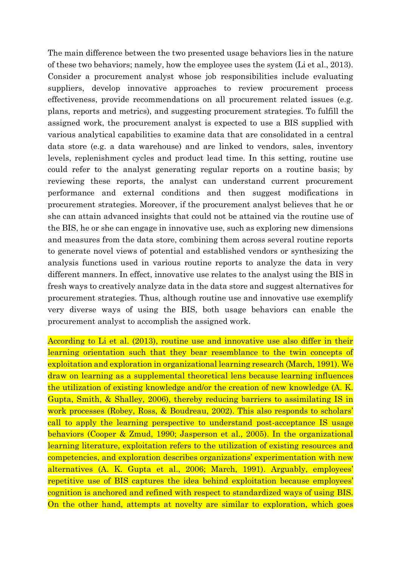The main difference between the two presented usage behaviors lies in the nature of these two behaviors; namely, how the employee uses the system (Li et al., 2013). Consider a procurement analyst whose job responsibilities include evaluating suppliers, develop innovative approaches to review procurement process effectiveness, provide recommendations on all procurement related issues (e.g. plans, reports and metrics), and suggesting procurement strategies. To fulfill the assigned work, the procurement analyst is expected to use a BIS supplied with various analytical capabilities to examine data that are consolidated in a central data store (e.g. a data warehouse) and are linked to vendors, sales, inventory levels, replenishment cycles and product lead time. In this setting, routine use could refer to the analyst generating regular reports on a routine basis; by reviewing these reports, the analyst can understand current procurement performance and external conditions and then suggest modifications in procurement strategies. Moreover, if the procurement analyst believes that he or she can attain advanced insights that could not be attained via the routine use of the BIS, he or she can engage in innovative use, such as exploring new dimensions and measures from the data store, combining them across several routine reports to generate novel views of potential and established vendors or synthesizing the analysis functions used in various routine reports to analyze the data in very different manners. In effect, innovative use relates to the analyst using the BIS in fresh ways to creatively analyze data in the data store and suggest alternatives for procurement strategies. Thus, although routine use and innovative use exemplify very diverse ways of using the BIS, both usage behaviors can enable the procurement analyst to accomplish the assigned work.

According to Li et al. (2013), routine use and innovative use also differ in their learning orientation such that they bear resemblance to the twin concepts of exploitation and exploration in organizational learning research (March, 1991). We draw on learning as a supplemental theoretical lens because learning influences the utilization of existing knowledge and/or the creation of new knowledge (A. K. Gupta, Smith, & Shalley, 2006), thereby reducing barriers to assimilating IS in work processes (Robey, Ross, & Boudreau, 2002). This also responds to scholars' call to apply the learning perspective to understand post-acceptance IS usage behaviors (Cooper & Zmud, 1990; Jasperson et al., 2005). In the organizational learning literature, exploitation refers to the utilization of existing resources and competencies, and exploration describes organizations' experimentation with new alternatives (A. K. Gupta et al., 2006; March, 1991). Arguably, employees' repetitive use of BIS captures the idea behind exploitation because employees' cognition is anchored and refined with respect to standardized ways of using BIS. On the other hand, attempts at novelty are similar to exploration, which goes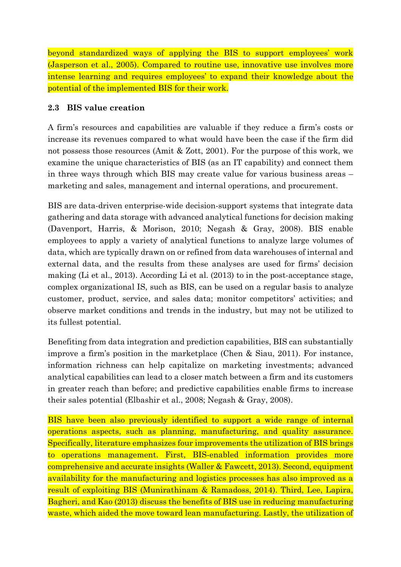beyond standardized ways of applying the BIS to support employees' work (Jasperson et al., 2005). Compared to routine use, innovative use involves more intense learning and requires employees' to expand their knowledge about the potential of the implemented BIS for their work.

## **2.3 BIS value creation**

A firm's resources and capabilities are valuable if they reduce a firm's costs or increase its revenues compared to what would have been the case if the firm did not possess those resources (Amit & Zott, 2001). For the purpose of this work, we examine the unique characteristics of BIS (as an IT capability) and connect them in three ways through which BIS may create value for various business areas – marketing and sales, management and internal operations, and procurement.

BIS are data-driven enterprise-wide decision-support systems that integrate data gathering and data storage with advanced analytical functions for decision making (Davenport, Harris, & Morison, 2010; Negash & Gray, 2008). BIS enable employees to apply a variety of analytical functions to analyze large volumes of data, which are typically drawn on or refined from data warehouses of internal and external data, and the results from these analyses are used for firms' decision making (Li et al., 2013). According Li et al. (2013) to in the post-acceptance stage, complex organizational IS, such as BIS, can be used on a regular basis to analyze customer, product, service, and sales data; monitor competitors' activities; and observe market conditions and trends in the industry, but may not be utilized to its fullest potential.

Benefiting from data integration and prediction capabilities, BIS can substantially improve a firm's position in the marketplace (Chen & Siau, 2011). For instance, information richness can help capitalize on marketing investments; advanced analytical capabilities can lead to a closer match between a firm and its customers in greater reach than before; and predictive capabilities enable firms to increase their sales potential (Elbashir et al., 2008; Negash & Gray, 2008).

BIS have been also previously identified to support a wide range of internal operations aspects, such as planning, manufacturing, and quality assurance. Specifically, literature emphasizes four improvements the utilization of BIS brings to operations management. First, BIS-enabled information provides more comprehensive and accurate insights (Waller & Fawcett, 2013). Second, equipment availability for the manufacturing and logistics processes has also improved as a result of exploiting BIS (Munirathinam & Ramadoss, 2014). Third, Lee, Lapira, Bagheri, and Kao (2013) discuss the benefits of BIS use in reducing manufacturing waste, which aided the move toward lean manufacturing. Lastly, the utilization of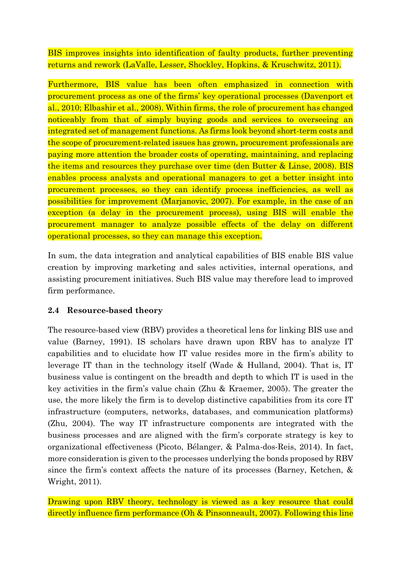BIS improves insights into identification of faulty products, further preventing returns and rework (LaValle, Lesser, Shockley, Hopkins, & Kruschwitz, 2011).

Furthermore, BIS value has been often emphasized in connection with procurement process as one of the firms' key operational processes (Davenport et al., 2010; Elbashir et al., 2008). Within firms, the role of procurement has changed noticeably from that of simply buying goods and services to overseeing an integrated set of management functions. As firms look beyond short-term costs and the scope of procurement-related issues has grown, procurement professionals are paying more attention the broader costs of operating, maintaining, and replacing the items and resources they purchase over time (den Butter & Linse, 2008). BIS enables process analysts and operational managers to get a better insight into procurement processes, so they can identify process inefficiencies, as well as possibilities for improvement (Marjanovic, 2007). For example, in the case of an exception (a delay in the procurement process), using BIS will enable the procurement manager to analyze possible effects of the delay on different operational processes, so they can manage this exception.

In sum, the data integration and analytical capabilities of BIS enable BIS value creation by improving marketing and sales activities, internal operations, and assisting procurement initiatives. Such BIS value may therefore lead to improved firm performance.

#### **2.4 Resource-based theory**

The resource-based view (RBV) provides a theoretical lens for linking BIS use and value (Barney, 1991). IS scholars have drawn upon RBV has to analyze IT capabilities and to elucidate how IT value resides more in the firm's ability to leverage IT than in the technology itself (Wade & Hulland, 2004). That is, IT business value is contingent on the breadth and depth to which IT is used in the key activities in the firm's value chain (Zhu & Kraemer, 2005). The greater the use, the more likely the firm is to develop distinctive capabilities from its core IT infrastructure (computers, networks, databases, and communication platforms) (Zhu, 2004). The way IT infrastructure components are integrated with the business processes and are aligned with the firm's corporate strategy is key to organizational effectiveness (Picoto, Bélanger, & Palma-dos-Reis, 2014). In fact, more consideration is given to the processes underlying the bonds proposed by RBV since the firm's context affects the nature of its processes (Barney, Ketchen, & Wright, 2011).

Drawing upon RBV theory, technology is viewed as a key resource that could directly influence firm performance (Oh & Pinsonneault, 2007). Following this line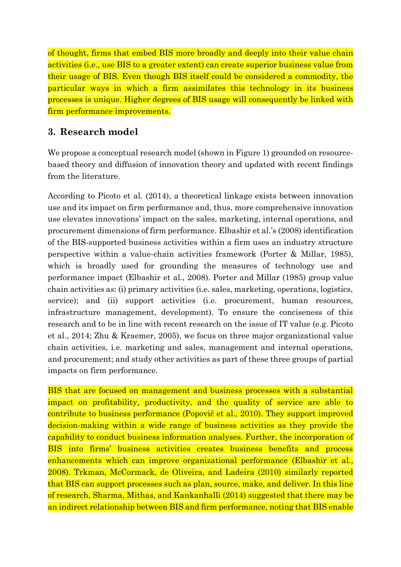of thought, firms that embed BIS more broadly and deeply into their value chain activities (i.e., use BIS to a greater extent) can create superior business value from their usage of BIS. Even though BIS itself could be considered a commodity, the particular ways in which a firm assimilates this technology in its business processes is unique. Higher degrees of BIS usage will consequently be linked with firm performance improvements.

# **3. Research model**

We propose a conceptual research model (shown in Figure 1) grounded on resourcebased theory and diffusion of innovation theory and updated with recent findings from the literature.

According to Picoto et al. (2014), a theoretical linkage exists between innovation use and its impact on firm performance and, thus, more comprehensive innovation use elevates innovations' impact on the sales, marketing, internal operations, and procurement dimensions of firm performance. Elbashir et al.'s (2008) identification of the BIS-supported business activities within a firm uses an industry structure perspective within a value-chain activities framework (Porter & Millar, 1985), which is broadly used for grounding the measures of technology use and performance impact (Elbashir et al., 2008). Porter and Millar (1985) group value chain activities as: (i) primary activities (i.e. sales, marketing, operations, logistics, service); and (ii) support activities (i.e. procurement, human resources, infrastructure management, development). To ensure the conciseness of this research and to be in line with recent research on the issue of IT value (e.g. Picoto et al., 2014; Zhu & Kraemer, 2005), we focus on three major organizational value chain activities, i.e. marketing and sales, management and internal operations, and procurement; and study other activities as part of these three groups of partial impacts on firm performance.

BIS that are focused on management and business processes with a substantial impact on profitability, productivity, and the quality of service are able to contribute to business performance (Popovič et al., 2010). They support improved decision-making within a wide range of business activities as they provide the capability to conduct business information analyses. Further, the incorporation of BIS into firms' business activities creates business benefits and process enhancements which can improve organizational performance (Elbashir et al., 2008). Trkman, McCormack, de Oliveira, and Ladeira (2010) similarly reported that BIS can support processes such as plan, source, make, and deliver. In this line of research, Sharma, Mithas, and Kankanhalli (2014) suggested that there may be an indirect relationship between BIS and firm performance, noting that BIS enable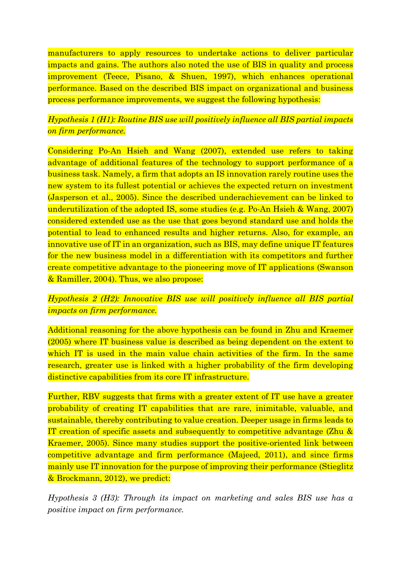manufacturers to apply resources to undertake actions to deliver particular impacts and gains. The authors also noted the use of BIS in quality and process improvement (Teece, Pisano, & Shuen, 1997), which enhances operational performance. Based on the described BIS impact on organizational and business process performance improvements, we suggest the following hypothesis:

# *Hypothesis 1 (H1): Routine BIS use will positively influence all BIS partial impacts on firm performance.*

Considering Po-An Hsieh and Wang (2007), extended use refers to taking advantage of additional features of the technology to support performance of a business task. Namely, a firm that adopts an IS innovation rarely routine uses the new system to its fullest potential or achieves the expected return on investment (Jasperson et al., 2005). Since the described underachievement can be linked to underutilization of the adopted IS, some studies (e.g. Po-An Hsieh & Wang, 2007) considered extended use as the use that goes beyond standard use and holds the potential to lead to enhanced results and higher returns. Also, for example, an innovative use of IT in an organization, such as BIS, may define unique IT features for the new business model in a differentiation with its competitors and further create competitive advantage to the pioneering move of IT applications (Swanson & Ramiller, 2004). Thus, we also propose:

## *Hypothesis 2 (H2): Innovative BIS use will positively influence all BIS partial impacts on firm performance.*

Additional reasoning for the above hypothesis can be found in Zhu and Kraemer (2005) where IT business value is described as being dependent on the extent to which IT is used in the main value chain activities of the firm. In the same research, greater use is linked with a higher probability of the firm developing distinctive capabilities from its core IT infrastructure.

Further, RBV suggests that firms with a greater extent of IT use have a greater probability of creating IT capabilities that are rare, inimitable, valuable, and sustainable, thereby contributing to value creation. Deeper usage in firms leads to IT creation of specific assets and subsequently to competitive advantage (Zhu & Kraemer, 2005). Since many studies support the positive-oriented link between competitive advantage and firm performance (Majeed, 2011), and since firms mainly use IT innovation for the purpose of improving their performance (Stieglitz & Brockmann, 2012), we predict:

*Hypothesis 3 (H3): Through its impact on marketing and sales BIS use has a positive impact on firm performance.*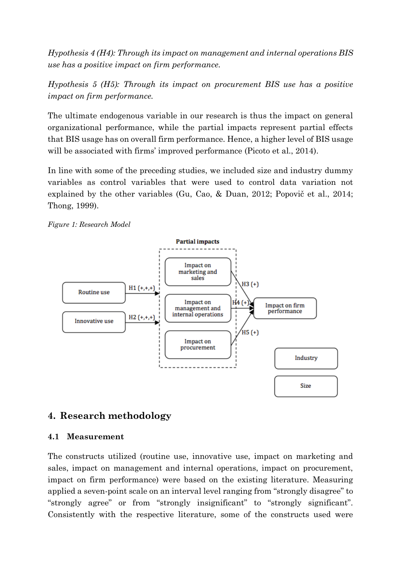*Hypothesis 4 (H4): Through its impact on management and internal operations BIS use has a positive impact on firm performance.*

*Hypothesis 5 (H5): Through its impact on procurement BIS use has a positive impact on firm performance.*

The ultimate endogenous variable in our research is thus the impact on general organizational performance, while the partial impacts represent partial effects that BIS usage has on overall firm performance. Hence, a higher level of BIS usage will be associated with firms' improved performance (Picoto et al., 2014).

In line with some of the preceding studies, we included size and industry dummy variables as control variables that were used to control data variation not explained by the other variables (Gu, Cao, & Duan, 2012; Popovič et al., 2014; Thong, 1999).

*Figure 1: Research Model*



## **4. Research methodology**

#### **4.1 Measurement**

The constructs utilized (routine use, innovative use, impact on marketing and sales, impact on management and internal operations, impact on procurement, impact on firm performance) were based on the existing literature. Measuring applied a seven-point scale on an interval level ranging from "strongly disagree" to "strongly agree" or from "strongly insignificant" to "strongly significant". Consistently with the respective literature, some of the constructs used were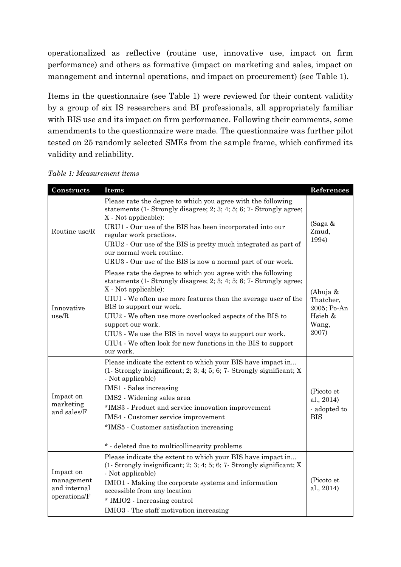operationalized as reflective (routine use, innovative use, impact on firm performance) and others as formative (impact on marketing and sales, impact on management and internal operations, and impact on procurement) (see Table 1).

Items in the questionnaire (see Table 1) were reviewed for their content validity by a group of six IS researchers and BI professionals, all appropriately familiar with BIS use and its impact on firm performance. Following their comments, some amendments to the questionnaire were made. The questionnaire was further pilot tested on 25 randomly selected SMEs from the sample frame, which confirmed its validity and reliability.

| Constructs                                              | Items                                                                                                                                                                                                                                                                                                                                                                                                                                                                              | References                                                        |
|---------------------------------------------------------|------------------------------------------------------------------------------------------------------------------------------------------------------------------------------------------------------------------------------------------------------------------------------------------------------------------------------------------------------------------------------------------------------------------------------------------------------------------------------------|-------------------------------------------------------------------|
| Routine use/R                                           | Please rate the degree to which you agree with the following<br>statements (1-Strongly disagree; 2; 3; 4; 5; 6; 7-Strongly agree;<br>X - Not applicable):<br>URU1 - Our use of the BIS has been incorporated into our<br>regular work practices.<br>URU2 - Our use of the BIS is pretty much integrated as part of<br>our normal work routine.<br>URU3 - Our use of the BIS is now a normal part of our work.                                                                      | (Saga &<br>Zmud,<br>1994)                                         |
| Innovative<br>use/R                                     | Please rate the degree to which you agree with the following<br>statements (1-Strongly disagree; 2; 3; 4; 5; 6; 7-Strongly agree;<br>X - Not applicable):<br>UIU1 - We often use more features than the average user of the<br>BIS to support our work.<br>UIU2 - We often use more overlooked aspects of the BIS to<br>support our work.<br>UIU3 - We use the BIS in novel ways to support our work.<br>UIU4 - We often look for new functions in the BIS to support<br>our work. | (Ahuja &<br>Thatcher,<br>2005; Po-An<br>Hsieh &<br>Wang,<br>2007) |
| Impact on<br>marketing<br>and sales/F                   | Please indicate the extent to which your BIS have impact in<br>$(1 -$ Strongly insignificant; 2; 3; 4; 5; 6; 7 Strongly significant; X<br>- Not applicable)<br>IMS1 - Sales increasing<br>IMS2 - Widening sales area<br>*IMS3 - Product and service innovation improvement<br>IMS4 - Customer service improvement<br>*IMS5 - Customer satisfaction increasing<br>* - deleted due to multicollinearity problems                                                                     | (Picoto et<br>al., 2014)<br>- adopted to<br><b>BIS</b>            |
| Impact on<br>management<br>and internal<br>operations/F | Please indicate the extent to which your BIS have impact in<br>$(1 -$ Strongly insignificant; 2; 3; 4; 5; 6; 7- Strongly significant; X<br>- Not applicable)<br>IMIO1 - Making the corporate systems and information<br>accessible from any location<br>* IMIO2 - Increasing control<br>IMIO3 - The staff motivation increasing                                                                                                                                                    | (Picoto et<br>al., 2014)                                          |

*Table 1: Measurement items*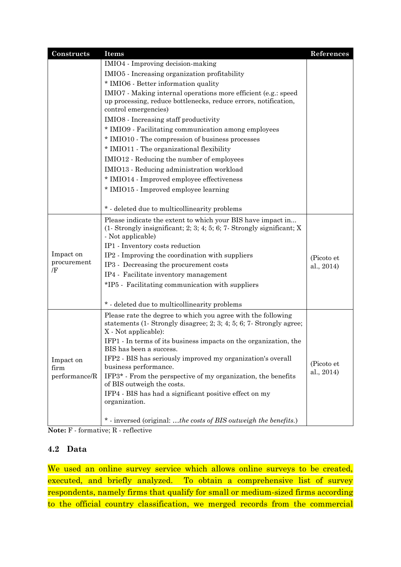| Constructs        | Items                                                                                       | References |  |  |  |  |
|-------------------|---------------------------------------------------------------------------------------------|------------|--|--|--|--|
|                   | IMIO4 - Improving decision-making                                                           |            |  |  |  |  |
|                   | IMIO5 - Increasing organization profitability                                               |            |  |  |  |  |
|                   | * IMIO6 - Better information quality                                                        |            |  |  |  |  |
|                   | IMIO7 - Making internal operations more efficient (e.g.: speed                              |            |  |  |  |  |
|                   | up processing, reduce bottlenecks, reduce errors, notification,                             |            |  |  |  |  |
|                   | control emergencies)<br>IMIO8 - Increasing staff productivity                               |            |  |  |  |  |
|                   |                                                                                             |            |  |  |  |  |
|                   | * IMIO9 - Facilitating communication among employees                                        |            |  |  |  |  |
|                   | * IMIO10 - The compression of business processes                                            |            |  |  |  |  |
|                   | * IMIO11 - The organizational flexibility                                                   |            |  |  |  |  |
|                   | IMIO12 - Reducing the number of employees                                                   |            |  |  |  |  |
|                   | IMIO13 - Reducing administration workload                                                   |            |  |  |  |  |
|                   | * IMIO14 - Improved employee effectiveness                                                  |            |  |  |  |  |
|                   | * IMIO15 - Improved employee learning                                                       |            |  |  |  |  |
|                   |                                                                                             |            |  |  |  |  |
|                   | * - deleted due to multicollinearity problems                                               |            |  |  |  |  |
|                   | Please indicate the extent to which your BIS have impact in                                 |            |  |  |  |  |
|                   | $(1 -$ Strongly insignificant; 2; 3; 4; 5; 6; 7- Strongly significant; X                    |            |  |  |  |  |
|                   | - Not applicable)                                                                           |            |  |  |  |  |
|                   | IP1 - Inventory costs reduction                                                             |            |  |  |  |  |
| Impact on         | IP2 - Improving the coordination with suppliers                                             | (Picoto et |  |  |  |  |
| procurement<br>Æ  | IP3 - Decreasing the procurement costs                                                      | al., 2014) |  |  |  |  |
|                   | IP4 - Facilitate inventory management                                                       |            |  |  |  |  |
|                   | *IP5 - Facilitating communication with suppliers                                            |            |  |  |  |  |
|                   |                                                                                             |            |  |  |  |  |
|                   | * - deleted due to multicollinearity problems                                               |            |  |  |  |  |
|                   | Please rate the degree to which you agree with the following                                |            |  |  |  |  |
|                   | statements (1-Strongly disagree; 2; 3; 4; 5; 6; 7-Strongly agree;                           |            |  |  |  |  |
|                   | X - Not applicable):                                                                        |            |  |  |  |  |
|                   | IFP1 - In terms of its business impacts on the organization, the<br>BIS has been a success. |            |  |  |  |  |
|                   | IFP2 - BIS has seriously improved my organization's overall                                 |            |  |  |  |  |
| Impact on<br>firm | business performance.                                                                       | (Picoto et |  |  |  |  |
| performance/R     | IFP3* - From the perspective of my organization, the benefits                               | al., 2014) |  |  |  |  |
|                   | of BIS outweigh the costs.                                                                  |            |  |  |  |  |
|                   | IFP4 - BIS has had a significant positive effect on my                                      |            |  |  |  |  |
|                   | organization.                                                                               |            |  |  |  |  |
|                   |                                                                                             |            |  |  |  |  |
|                   | * - inversed (original: the costs of BIS outweigh the benefits.)                            |            |  |  |  |  |

**Note:** F - formative; R - reflective

#### **4.2 Data**

We used an online survey service which allows online surveys to be created, executed, and briefly analyzed. To obtain a comprehensive list of survey respondents, namely firms that qualify for small or medium-sized firms according to the official country classification, we merged records from the commercial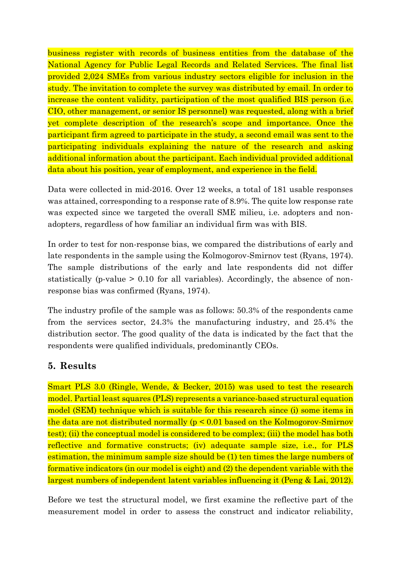business register with records of business entities from the database of the National Agency for Public Legal Records and Related Services. The final list provided 2,024 SMEs from various industry sectors eligible for inclusion in the study. The invitation to complete the survey was distributed by email. In order to increase the content validity, participation of the most qualified BIS person (i.e. CIO, other management, or senior IS personnel) was requested, along with a brief yet complete description of the research's scope and importance. Once the participant firm agreed to participate in the study, a second email was sent to the participating individuals explaining the nature of the research and asking additional information about the participant. Each individual provided additional data about his position, year of employment, and experience in the field.

Data were collected in mid-2016. Over 12 weeks, a total of 181 usable responses was attained, corresponding to a response rate of 8.9%. The quite low response rate was expected since we targeted the overall SME milieu, i.e. adopters and nonadopters, regardless of how familiar an individual firm was with BIS.

In order to test for non-response bias, we compared the distributions of early and late respondents in the sample using the Kolmogorov-Smirnov test (Ryans, 1974). The sample distributions of the early and late respondents did not differ statistically (p-value > 0.10 for all variables). Accordingly, the absence of nonresponse bias was confirmed (Ryans, 1974).

The industry profile of the sample was as follows: 50.3% of the respondents came from the services sector, 24.3% the manufacturing industry, and 25.4% the distribution sector. The good quality of the data is indicated by the fact that the respondents were qualified individuals, predominantly CEOs.

# **5. Results**

Smart PLS 3.0 (Ringle, Wende, & Becker, 2015) was used to test the research model. Partial least squares (PLS) represents a variance-based structural equation model (SEM) technique which is suitable for this research since (i) some items in the data are not distributed normally (p < 0.01 based on the Kolmogorov-Smirnov test); (ii) the conceptual model is considered to be complex; (iii) the model has both reflective and formative constructs; (iv) adequate sample size, i.e., for PLS estimation, the minimum sample size should be (1) ten times the large numbers of formative indicators (in our model is eight) and (2) the dependent variable with the largest numbers of independent latent variables influencing it (Peng & Lai, 2012).

Before we test the structural model, we first examine the reflective part of the measurement model in order to assess the construct and indicator reliability,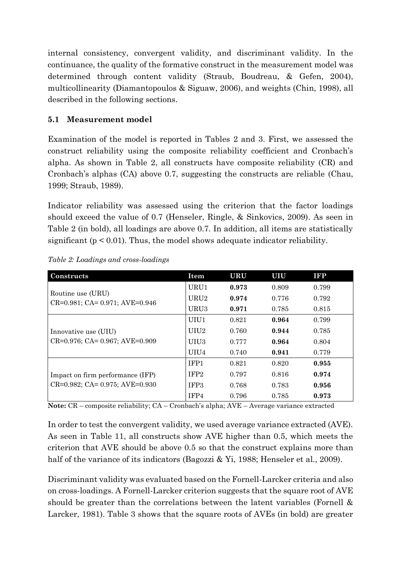internal consistency, convergent validity, and discriminant validity. In the continuance, the quality of the formative construct in the measurement model was determined through content validity (Straub, Boudreau, & Gefen, 2004), multicollinearity (Diamantopoulos & Siguaw, 2006), and weights (Chin, 1998), all described in the following sections.

## **5.1 Measurement model**

Examination of the model is reported in Tables 2 and 3. First, we assessed the construct reliability using the composite reliability coefficient and Cronbach's alpha. As shown in Table 2, all constructs have composite reliability (CR) and Cronbach's alphas (CA) above 0.7, suggesting the constructs are reliable (Chau, 1999; Straub, 1989).

Indicator reliability was assessed using the criterion that the factor loadings should exceed the value of 0.7 (Henseler, Ringle, & Sinkovics, 2009). As seen in Table 2 (in bold), all loadings are above 0.7. In addition, all items are statistically significant ( $p < 0.01$ ). Thus, the model shows adequate indicator reliability.

| Constructs                                                 | Item             | <b>URU</b> | UIU   | <b>IFP</b> |
|------------------------------------------------------------|------------------|------------|-------|------------|
|                                                            | URU1             | 0.973      | 0.809 | 0.799      |
| Routine use (URU)<br>$CR=0.981$ ; $CA=0.971$ ; $AVE=0.946$ | URU <sub>2</sub> | 0.974      | 0.776 | 0.792      |
|                                                            | URU3             | 0.971      | 0.785 | 0.815      |
|                                                            | UIU1             | 0.821      | 0.964 | 0.799      |
| Innovative use (UIU)                                       | UIU2             | 0.760      | 0.944 | 0.785      |
| CR=0.976; CA= 0.967; AVE=0.909                             | UIU3             | 0.777      | 0.964 | 0.804      |
|                                                            | UIU4             | 0.740      | 0.941 | 0.779      |
|                                                            | IFP <sub>1</sub> | 0.821      | 0.820 | 0.955      |
| Impact on firm performance (IFP)                           | IFP <sub>2</sub> | 0.797      | 0.816 | 0.974      |
| $CR=0.982$ ; $CA= 0.975$ ; $AVE=0.930$                     | IFP <sub>3</sub> | 0.768      | 0.783 | 0.956      |
|                                                            | IFP4             | 0.796      | 0.785 | 0.973      |

*Table 2: Loadings and cross-loadings*

**Note:** CR – composite reliability; CA – Cronbach's alpha; AVE – Average variance extracted

In order to test the convergent validity, we used average variance extracted (AVE). As seen in Table 11, all constructs show AVE higher than 0.5, which meets the criterion that AVE should be above 0.5 so that the construct explains more than half of the variance of its indicators (Bagozzi & Yi, 1988; Henseler et al., 2009).

Discriminant validity was evaluated based on the Fornell-Larcker criteria and also on cross-loadings. A Fornell-Larcker criterion suggests that the square root of AVE should be greater than the correlations between the latent variables (Fornell & Larcker, 1981). Table 3 shows that the square roots of AVEs (in bold) are greater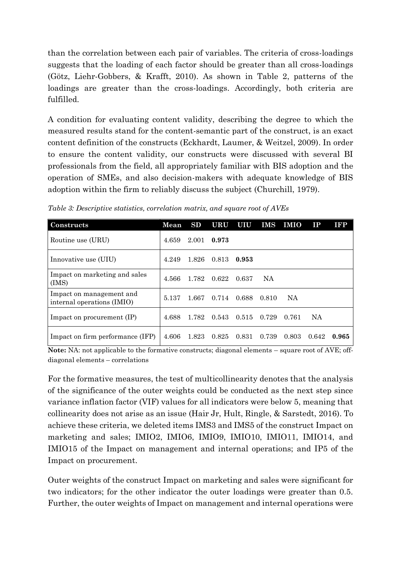than the correlation between each pair of variables. The criteria of cross-loadings suggests that the loading of each factor should be greater than all cross-loadings (Götz, Liehr-Gobbers, & Krafft, 2010). As shown in Table 2, patterns of the loadings are greater than the cross-loadings. Accordingly, both criteria are fulfilled.

A condition for evaluating content validity, describing the degree to which the measured results stand for the content-semantic part of the construct, is an exact content definition of the constructs (Eckhardt, Laumer, & Weitzel, 2009). In order to ensure the content validity, our constructs were discussed with several BI professionals from the field, all appropriately familiar with BIS adoption and the operation of SMEs, and also decision-makers with adequate knowledge of BIS adoption within the firm to reliably discuss the subject (Churchill, 1979).

| Constructs                                             | Mean  | SD    | <b>URU</b> | UIU   | IMS   | <b>IMIO</b> | $_{\rm IP}$ | <b>IFP</b> |
|--------------------------------------------------------|-------|-------|------------|-------|-------|-------------|-------------|------------|
| Routine use (URU)                                      | 4.659 | 2.001 | 0.973      |       |       |             |             |            |
| Innovative use (UIU)                                   | 4.249 | 1.826 | 0.813      | 0.953 |       |             |             |            |
| Impact on marketing and sales<br>(IMS)                 | 4.566 | 1.782 | 0.622      | 0.637 | NA    |             |             |            |
| Impact on management and<br>internal operations (IMIO) | 5.137 | 1.667 | 0.714      | 0.688 | 0.810 | <b>NA</b>   |             |            |
| Impact on procurement (IP)                             | 4.688 | 1.782 | 0.543      | 0.515 | 0.729 | 0.761       | <b>NA</b>   |            |
| Impact on firm performance (IFP)                       | 4.606 | 1.823 | 0.825      | 0.831 | 0.739 | 0.803       | 0.642       | 0.965      |

*Table 3: Descriptive statistics, correlation matrix, and square root of AVEs*

Note: NA: not applicable to the formative constructs; diagonal elements – square root of AVE; offdiagonal elements – correlations

For the formative measures, the test of multicollinearity denotes that the analysis of the significance of the outer weights could be conducted as the next step since variance inflation factor (VIF) values for all indicators were below 5, meaning that collinearity does not arise as an issue (Hair Jr, Hult, Ringle, & Sarstedt, 2016). To achieve these criteria, we deleted items IMS3 and IMS5 of the construct Impact on marketing and sales; IMIO2, IMIO6, IMIO9, IMIO10, IMIO11, IMIO14, and IMIO15 of the Impact on management and internal operations; and IP5 of the Impact on procurement.

Outer weights of the construct Impact on marketing and sales were significant for two indicators; for the other indicator the outer loadings were greater than 0.5. Further, the outer weights of Impact on management and internal operations were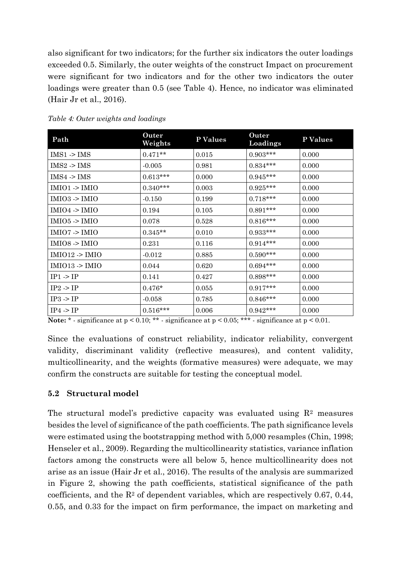also significant for two indicators; for the further six indicators the outer loadings exceeded 0.5. Similarly, the outer weights of the construct Impact on procurement were significant for two indicators and for the other two indicators the outer loadings were greater than 0.5 (see Table 4). Hence, no indicator was eliminated (Hair Jr et al., 2016).

| Path                 | Outer<br>Weights | P Values | Outer<br>Loadings | P Values |
|----------------------|------------------|----------|-------------------|----------|
| $IMS1 - IMS$         | $0.471**$        | 0.015    | $0.903***$        | 0.000    |
| IMS2 >IMS            | $-0.005$         | 0.981    | $0.834***$        | 0.000    |
| $IMS4$ -> $IMS$      | $0.613***$       | 0.000    | $0.945***$        | 0.000    |
| IMIO1 > IMIO         | $0.340***$       | 0.003    | $0.925***$        | 0.000    |
| IMIO3 > IMIO         | $-0.150$         | 0.199    | $0.718***$        | 0.000    |
| IMIO4 > IMIO         | 0.194            | 0.105    | $0.891***$        | 0.000    |
| $IMIO5$ -> $IMIO$    | 0.078            | 0.528    | $0.816***$        | 0.000    |
| IMIO7 > IMIO         | $0.345**$        | 0.010    | $0.933***$        | 0.000    |
| IMIO8 > IMIO         | 0.231            | 0.116    | $0.914***$        | 0.000    |
| IMIO12 > IMIO        | $-0.012$         | 0.885    | $0.590***$        | 0.000    |
| IMIO13 -> IMIO       | 0.044            | 0.620    | $0.694***$        | 0.000    |
| $IP1 \rightarrow IP$ | 0.141            | 0.427    | $0.898***$        | 0.000    |
| IP2 > IP             | $0.476*$         | 0.055    | $0.917***$        | 0.000    |
| $IP3$ -> $IP$        | $-0.058$         | 0.785    | $0.846***$        | 0.000    |
| $IP4$ -> $IP$        | $0.516***$       | 0.006    | $0.942***$        | 0.000    |

*Table 4: Outer weights and loadings*

**Note:**  $*$  - significance at p < 0.10;  $**$  - significance at p < 0.05;  $***$  - significance at p < 0.01.

Since the evaluations of construct reliability, indicator reliability, convergent validity, discriminant validity (reflective measures), and content validity, multicollinearity, and the weights (formative measures) were adequate, we may confirm the constructs are suitable for testing the conceptual model.

#### **5.2 Structural model**

The structural model's predictive capacity was evaluated using  $\mathbb{R}^2$  measures besides the level of significance of the path coefficients. The path significance levels were estimated using the bootstrapping method with 5,000 resamples (Chin, 1998; Henseler et al., 2009). Regarding the multicollinearity statistics, variance inflation factors among the constructs were all below 5, hence multicollinearity does not arise as an issue (Hair Jr et al., 2016). The results of the analysis are summarized in Figure 2, showing the path coefficients, statistical significance of the path coefficients, and the  $R<sup>2</sup>$  of dependent variables, which are respectively 0.67, 0.44, 0.55, and 0.33 for the impact on firm performance, the impact on marketing and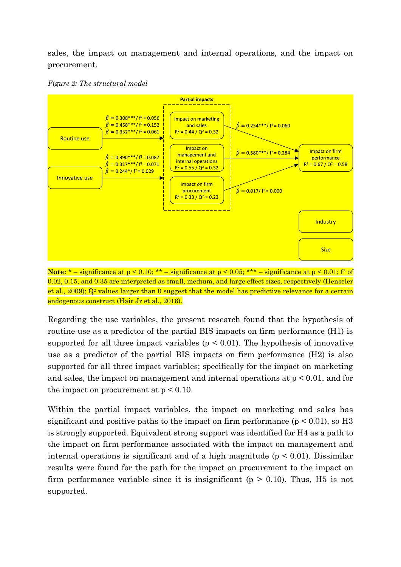sales, the impact on management and internal operations, and the impact on procurement.





**Note:**  $*$  – significance at  $p < 0.10$ ;  $**$  – significance at  $p < 0.05$ ;  $***$  – significance at  $p < 0.01$ ;  $f<sup>2</sup>$  of 0.02, 0.15, and 0.35 are interpreted as small, medium, and large effect sizes, respectively (Henseler et al., 2009);  $Q^2$  values larger than 0 suggest that the model has predictive relevance for a certain endogenous construct (Hair Jr et al., 2016).

Regarding the use variables, the present research found that the hypothesis of routine use as a predictor of the partial BIS impacts on firm performance (H1) is supported for all three impact variables ( $p \leq 0.01$ ). The hypothesis of innovative use as a predictor of the partial BIS impacts on firm performance (H2) is also supported for all three impact variables; specifically for the impact on marketing and sales, the impact on management and internal operations at p < 0.01, and for the impact on procurement at  $p < 0.10$ .

Within the partial impact variables, the impact on marketing and sales has significant and positive paths to the impact on firm performance ( $p < 0.01$ ), so H<sub>3</sub> is strongly supported. Equivalent strong support was identified for H4 as a path to the impact on firm performance associated with the impact on management and internal operations is significant and of a high magnitude ( $p < 0.01$ ). Dissimilar results were found for the path for the impact on procurement to the impact on firm performance variable since it is insignificant ( $p > 0.10$ ). Thus, H5 is not supported.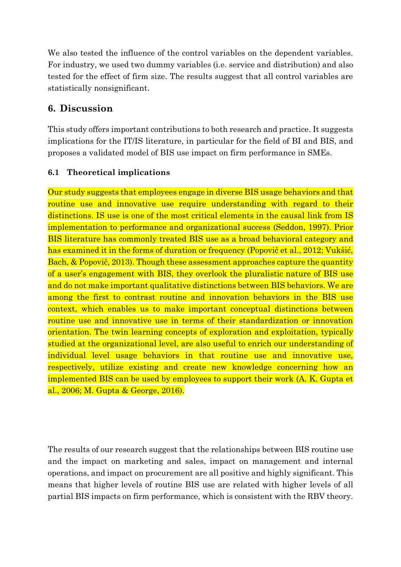We also tested the influence of the control variables on the dependent variables. For industry, we used two dummy variables (i.e. service and distribution) and also tested for the effect of firm size. The results suggest that all control variables are statistically nonsignificant.

# **6. Discussion**

This study offers important contributions to both research and practice. It suggests implications for the IT/IS literature, in particular for the field of BI and BIS, and proposes a validated model of BIS use impact on firm performance in SMEs.

#### **6.1 Theoretical implications**

Our study suggests that employees engage in diverse BIS usage behaviors and that routine use and innovative use require understanding with regard to their distinctions. IS use is one of the most critical elements in the causal link from IS implementation to performance and organizational success (Seddon, 1997). Prior BIS literature has commonly treated BIS use as a broad behavioral category and has examined it in the forms of duration or frequency (Popovič et al., 2012; Vukšić, Bach, & Popovič, 2013). Though these assessment approaches capture the quantity of a user's engagement with BIS, they overlook the pluralistic nature of BIS use and do not make important qualitative distinctions between BIS behaviors. We are among the first to contrast routine and innovation behaviors in the BIS use context, which enables us to make important conceptual distinctions between routine use and innovative use in terms of their standardization or innovation orientation. The twin learning concepts of exploration and exploitation, typically studied at the organizational level, are also useful to enrich our understanding of individual level usage behaviors in that routine use and innovative use, respectively, utilize existing and create new knowledge concerning how an implemented BIS can be used by employees to support their work (A. K. Gupta et al., 2006; M. Gupta & George, 2016).

The results of our research suggest that the relationships between BIS routine use and the impact on marketing and sales, impact on management and internal operations, and impact on procurement are all positive and highly significant. This means that higher levels of routine BIS use are related with higher levels of all partial BIS impacts on firm performance, which is consistent with the RBV theory.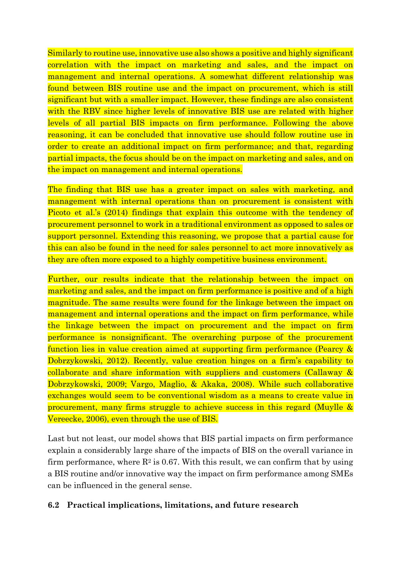Similarly to routine use, innovative use also shows a positive and highly significant correlation with the impact on marketing and sales, and the impact on management and internal operations. A somewhat different relationship was found between BIS routine use and the impact on procurement, which is still significant but with a smaller impact. However, these findings are also consistent with the RBV since higher levels of innovative BIS use are related with higher levels of all partial BIS impacts on firm performance. Following the above reasoning, it can be concluded that innovative use should follow routine use in order to create an additional impact on firm performance; and that, regarding partial impacts, the focus should be on the impact on marketing and sales, and on the impact on management and internal operations.

The finding that BIS use has a greater impact on sales with marketing, and management with internal operations than on procurement is consistent with Picoto et al.'s (2014) findings that explain this outcome with the tendency of procurement personnel to work in a traditional environment as opposed to sales or support personnel. Extending this reasoning, we propose that a partial cause for this can also be found in the need for sales personnel to act more innovatively as they are often more exposed to a highly competitive business environment.

Further, our results indicate that the relationship between the impact on marketing and sales, and the impact on firm performance is positive and of a high magnitude. The same results were found for the linkage between the impact on management and internal operations and the impact on firm performance, while the linkage between the impact on procurement and the impact on firm performance is nonsignificant. The overarching purpose of the procurement function lies in value creation aimed at supporting firm performance (Pearcy & Dobrzykowski, 2012). Recently, value creation hinges on a firm's capability to collaborate and share information with suppliers and customers (Callaway & Dobrzykowski, 2009; Vargo, Maglio, & Akaka, 2008). While such collaborative exchanges would seem to be conventional wisdom as a means to create value in procurement, many firms struggle to achieve success in this regard (Muylle & Vereecke, 2006), even through the use of BIS.

Last but not least, our model shows that BIS partial impacts on firm performance explain a considerably large share of the impacts of BIS on the overall variance in firm performance, where  $\mathbb{R}^2$  is 0.67. With this result, we can confirm that by using a BIS routine and/or innovative way the impact on firm performance among SMEs can be influenced in the general sense.

#### **6.2 Practical implications, limitations, and future research**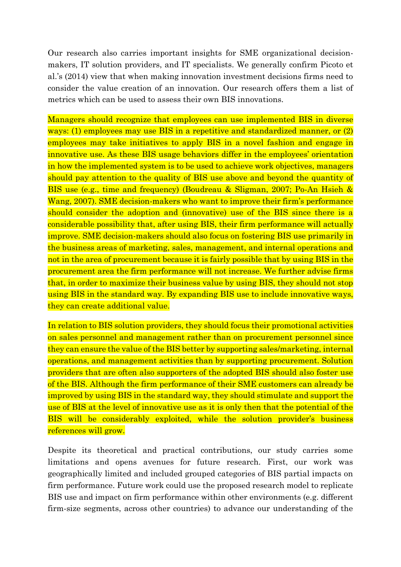Our research also carries important insights for SME organizational decisionmakers, IT solution providers, and IT specialists. We generally confirm Picoto et al.'s (2014) view that when making innovation investment decisions firms need to consider the value creation of an innovation. Our research offers them a list of metrics which can be used to assess their own BIS innovations.

Managers should recognize that employees can use implemented BIS in diverse ways: (1) employees may use BIS in a repetitive and standardized manner, or (2) employees may take initiatives to apply BIS in a novel fashion and engage in innovative use. As these BIS usage behaviors differ in the employees' orientation in how the implemented system is to be used to achieve work objectives, managers should pay attention to the quality of BIS use above and beyond the quantity of BIS use (e.g., time and frequency) (Boudreau & Sligman, 2007; Po-An Hsieh & Wang, 2007). SME decision-makers who want to improve their firm's performance should consider the adoption and (innovative) use of the BIS since there is a considerable possibility that, after using BIS, their firm performance will actually improve. SME decision-makers should also focus on fostering BIS use primarily in the business areas of marketing, sales, management, and internal operations and not in the area of procurement because it is fairly possible that by using BIS in the procurement area the firm performance will not increase. We further advise firms that, in order to maximize their business value by using BIS, they should not stop using BIS in the standard way. By expanding BIS use to include innovative ways, they can create additional value.

In relation to BIS solution providers, they should focus their promotional activities on sales personnel and management rather than on procurement personnel since they can ensure the value of the BIS better by supporting sales/marketing, internal operations, and management activities than by supporting procurement. Solution providers that are often also supporters of the adopted BIS should also foster use of the BIS. Although the firm performance of their SME customers can already be improved by using BIS in the standard way, they should stimulate and support the use of BIS at the level of innovative use as it is only then that the potential of the BIS will be considerably exploited, while the solution provider's business references will grow.

Despite its theoretical and practical contributions, our study carries some limitations and opens avenues for future research. First, our work was geographically limited and included grouped categories of BIS partial impacts on firm performance. Future work could use the proposed research model to replicate BIS use and impact on firm performance within other environments (e.g. different firm-size segments, across other countries) to advance our understanding of the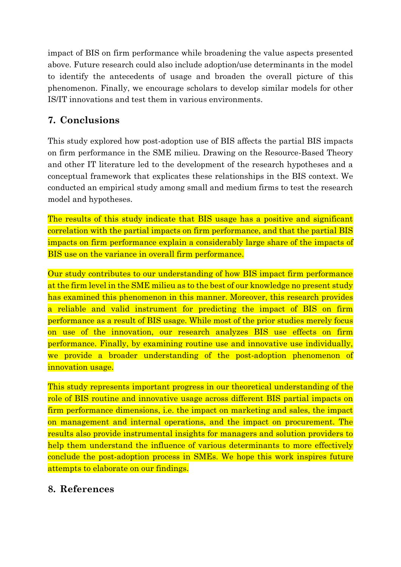impact of BIS on firm performance while broadening the value aspects presented above. Future research could also include adoption/use determinants in the model to identify the antecedents of usage and broaden the overall picture of this phenomenon. Finally, we encourage scholars to develop similar models for other IS/IT innovations and test them in various environments.

# **7. Conclusions**

This study explored how post-adoption use of BIS affects the partial BIS impacts on firm performance in the SME milieu. Drawing on the Resource-Based Theory and other IT literature led to the development of the research hypotheses and a conceptual framework that explicates these relationships in the BIS context. We conducted an empirical study among small and medium firms to test the research model and hypotheses.

The results of this study indicate that BIS usage has a positive and significant correlation with the partial impacts on firm performance, and that the partial BIS impacts on firm performance explain a considerably large share of the impacts of BIS use on the variance in overall firm performance.

Our study contributes to our understanding of how BIS impact firm performance at the firm level in the SME milieu as to the best of our knowledge no present study has examined this phenomenon in this manner. Moreover, this research provides a reliable and valid instrument for predicting the impact of BIS on firm performance as a result of BIS usage. While most of the prior studies merely focus on use of the innovation, our research analyzes BIS use effects on firm performance. Finally, by examining routine use and innovative use individually, we provide a broader understanding of the post-adoption phenomenon of innovation usage.

This study represents important progress in our theoretical understanding of the role of BIS routine and innovative usage across different BIS partial impacts on firm performance dimensions, i.e. the impact on marketing and sales, the impact on management and internal operations, and the impact on procurement. The results also provide instrumental insights for managers and solution providers to help them understand the influence of various determinants to more effectively conclude the post-adoption process in SMEs. We hope this work inspires future attempts to elaborate on our findings.

# **8. References**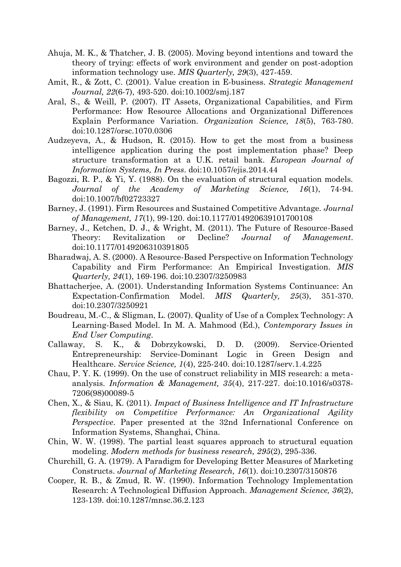- Ahuja, M. K., & Thatcher, J. B. (2005). Moving beyond intentions and toward the theory of trying: effects of work environment and gender on post-adoption information technology use. *MIS Quarterly, 29*(3), 427-459.
- Amit, R., & Zott, C. (2001). Value creation in E-business. *Strategic Management Journal, 22*(6-7), 493-520. doi:10.1002/smj.187
- Aral, S., & Weill, P. (2007). IT Assets, Organizational Capabilities, and Firm Performance: How Resource Allocations and Organizational Differences Explain Performance Variation. *Organization Science, 18*(5), 763-780. doi:10.1287/orsc.1070.0306
- Audzeyeva, A., & Hudson, R. (2015). How to get the most from a business intelligence application during the post implementation phase? Deep structure transformation at a U.K. retail bank. *European Journal of Information Systems, In Press*. doi:10.1057/ejis.2014.44
- Bagozzi, R. P., & Yi, Y. (1988). On the evaluation of structural equation models. *Journal of the Academy of Marketing Science, 16*(1), 74-94. doi:10.1007/bf02723327
- Barney, J. (1991). Firm Resources and Sustained Competitive Advantage. *Journal of Management, 17*(1), 99-120. doi:10.1177/014920639101700108
- Barney, J., Ketchen, D. J., & Wright, M. (2011). The Future of Resource-Based Theory: Revitalization or Decline? *Journal of Management*. doi:10.1177/0149206310391805
- Bharadwaj, A. S. (2000). A Resource-Based Perspective on Information Technology Capability and Firm Performance: An Empirical Investigation. *MIS Quarterly, 24*(1), 169-196. doi:10.2307/3250983
- Bhattacherjee, A. (2001). Understanding Information Systems Continuance: An Expectation-Confirmation Model. *MIS Quarterly, 25*(3), 351-370. doi:10.2307/3250921
- Boudreau, M.-C., & Sligman, L. (2007). Quality of Use of a Complex Technology: A Learning-Based Model. In M. A. Mahmood (Ed.), *Contemporary Issues in End User Computing*.
- Callaway, S. K., & Dobrzykowski, D. D. (2009). Service-Oriented Entrepreneurship: Service-Dominant Logic in Green Design and Healthcare. *Service Science, 1*(4), 225-240. doi:10.1287/serv.1.4.225
- Chau, P. Y. K. (1999). On the use of construct reliability in MIS research: a metaanalysis. *Information & Management, 35*(4), 217-227. doi:10.1016/s0378- 7206(98)00089-5
- Chen, X., & Siau, K. (2011). *Impact of Business Intelligence and IT Infrastructure flexibility on Competitive Performance: An Organizational Agility Perspective*. Paper presented at the 32nd Infernational Conference on Information Systems, Shanghai, China.
- Chin, W. W. (1998). The partial least squares approach to structural equation modeling. *Modern methods for business research, 295*(2), 295-336.
- Churchill, G. A. (1979). A Paradigm for Developing Better Measures of Marketing Constructs. *Journal of Marketing Research, 16*(1). doi:10.2307/3150876
- Cooper, R. B., & Zmud, R. W. (1990). Information Technology Implementation Research: A Technological Diffusion Approach. *Management Science, 36*(2), 123-139. doi:10.1287/mnsc.36.2.123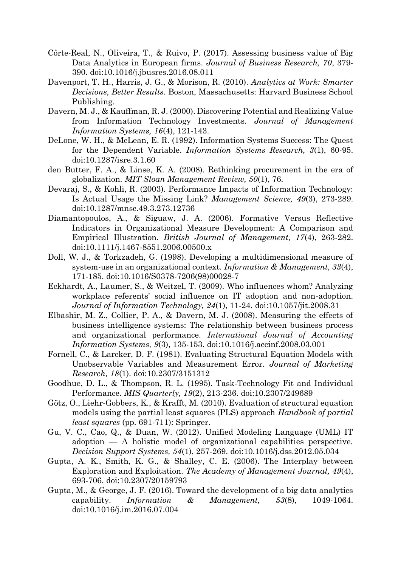- Côrte-Real, N., Oliveira, T., & Ruivo, P. (2017). Assessing business value of Big Data Analytics in European firms. *Journal of Business Research, 70*, 379- 390. doi:10.1016/j.jbusres.2016.08.011
- Davenport, T. H., Harris, J. G., & Morison, R. (2010). *Analytics at Work: Smarter Decisions, Better Results*. Boston, Massachusetts: Harvard Business School Publishing.
- Davern, M. J., & Kauffman, R. J. (2000). Discovering Potential and Realizing Value from Information Technology Investments. *Journal of Management Information Systems, 16*(4), 121-143.
- DeLone, W. H., & McLean, E. R. (1992). Information Systems Success: The Quest for the Dependent Variable. *Information Systems Research, 3*(1), 60-95. doi:10.1287/isre.3.1.60
- den Butter, F. A., & Linse, K. A. (2008). Rethinking procurement in the era of globalization. *MIT Sloan Management Review, 50*(1), 76.
- Devaraj, S., & Kohli, R. (2003). Performance Impacts of Information Technology: Is Actual Usage the Missing Link? *Management Science, 49*(3), 273-289. doi:10.1287/mnsc.49.3.273.12736
- Diamantopoulos, A., & Siguaw, J. A. (2006). Formative Versus Reflective Indicators in Organizational Measure Development: A Comparison and Empirical Illustration. *British Journal of Management, 17*(4), 263-282. doi:10.1111/j.1467-8551.2006.00500.x
- Doll, W. J., & Torkzadeh, G. (1998). Developing a multidimensional measure of system-use in an organizational context. *Information & Management, 33*(4), 171-185. doi:10.1016/S0378-7206(98)00028-7
- Eckhardt, A., Laumer, S., & Weitzel, T. (2009). Who influences whom? Analyzing workplace referents' social influence on IT adoption and non-adoption. *Journal of Information Technology, 24*(1), 11-24. doi:10.1057/jit.2008.31
- Elbashir, M. Z., Collier, P. A., & Davern, M. J. (2008). Measuring the effects of business intelligence systems: The relationship between business process and organizational performance. *International Journal of Accounting Information Systems, 9*(3), 135-153. doi:10.1016/j.accinf.2008.03.001
- Fornell, C., & Larcker, D. F. (1981). Evaluating Structural Equation Models with Unobservable Variables and Measurement Error. *Journal of Marketing Research, 18*(1). doi:10.2307/3151312
- Goodhue, D. L., & Thompson, R. L. (1995). Task-Technology Fit and Individual Performance. *MIS Quarterly, 19*(2), 213-236. doi:10.2307/249689
- Götz, O., Liehr-Gobbers, K., & Krafft, M. (2010). Evaluation of structural equation models using the partial least squares (PLS) approach *Handbook of partial least squares* (pp. 691-711): Springer.
- Gu, V. C., Cao, Q., & Duan, W. (2012). Unified Modeling Language (UML) IT adoption — A holistic model of organizational capabilities perspective. *Decision Support Systems, 54*(1), 257-269. doi:10.1016/j.dss.2012.05.034
- Gupta, A. K., Smith, K. G., & Shalley, C. E. (2006). The Interplay between Exploration and Exploitation. *The Academy of Management Journal, 49*(4), 693-706. doi:10.2307/20159793
- Gupta, M., & George, J. F. (2016). Toward the development of a big data analytics capability. *Information & Management, 53*(8), 1049-1064. doi:10.1016/j.im.2016.07.004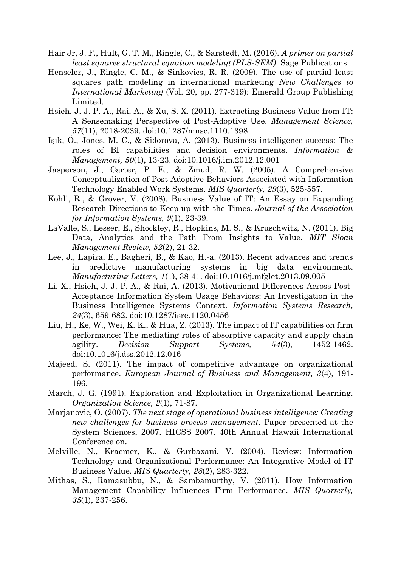- Hair Jr, J. F., Hult, G. T. M., Ringle, C., & Sarstedt, M. (2016). *A primer on partial least squares structural equation modeling (PLS-SEM)*: Sage Publications.
- Henseler, J., Ringle, C. M., & Sinkovics, R. R. (2009). The use of partial least squares path modeling in international marketing *New Challenges to International Marketing* (Vol. 20, pp. 277-319): Emerald Group Publishing Limited.
- Hsieh, J. J. P.-A., Rai, A., & Xu, S. X. (2011). Extracting Business Value from IT: A Sensemaking Perspective of Post-Adoptive Use. *Management Science, 57*(11), 2018-2039. doi:10.1287/mnsc.1110.1398
- Işık, Ö., Jones, M. C., & Sidorova, A. (2013). Business intelligence success: The roles of BI capabilities and decision environments. *Information & Management, 50*(1), 13-23. doi:10.1016/j.im.2012.12.001
- Jasperson, J., Carter, P. E., & Zmud, R. W. (2005). A Comprehensive Conceptualization of Post-Adoptive Behaviors Associated with Information Technology Enabled Work Systems. *MIS Quarterly, 29*(3), 525-557.
- Kohli, R., & Grover, V. (2008). Business Value of IT: An Essay on Expanding Research Directions to Keep up with the Times. *Journal of the Association for Information Systems, 9*(1), 23-39.
- LaValle, S., Lesser, E., Shockley, R., Hopkins, M. S., & Kruschwitz, N. (2011). Big Data, Analytics and the Path From Insights to Value. *MIT Sloan Management Review, 52*(2), 21-32.
- Lee, J., Lapira, E., Bagheri, B., & Kao, H.-a. (2013). Recent advances and trends in predictive manufacturing systems in big data environment. *Manufacturing Letters, 1*(1), 38-41. doi:10.1016/j.mfglet.2013.09.005
- Li, X., Hsieh, J. J. P.-A., & Rai, A. (2013). Motivational Differences Across Post-Acceptance Information System Usage Behaviors: An Investigation in the Business Intelligence Systems Context. *Information Systems Research, 24*(3), 659-682. doi:10.1287/isre.1120.0456
- Liu, H., Ke, W., Wei, K. K., & Hua, Z. (2013). The impact of IT capabilities on firm performance: The mediating roles of absorptive capacity and supply chain agility. *Decision Support Systems, 54*(3), 1452-1462. doi:10.1016/j.dss.2012.12.016
- Majeed, S. (2011). The impact of competitive advantage on organizational performance. *European Journal of Business and Management, 3*(4), 191- 196.
- March, J. G. (1991). Exploration and Exploitation in Organizational Learning. *Organization Science, 2*(1), 71-87.
- Marjanovic, O. (2007). *The next stage of operational business intelligence: Creating new challenges for business process management.* Paper presented at the System Sciences, 2007. HICSS 2007. 40th Annual Hawaii International Conference on.
- Melville, N., Kraemer, K., & Gurbaxani, V. (2004). Review: Information Technology and Organizational Performance: An Integrative Model of IT Business Value. *MIS Quarterly, 28*(2), 283-322.
- Mithas, S., Ramasubbu, N., & Sambamurthy, V. (2011). How Information Management Capability Influences Firm Performance. *MIS Quarterly, 35*(1), 237-256.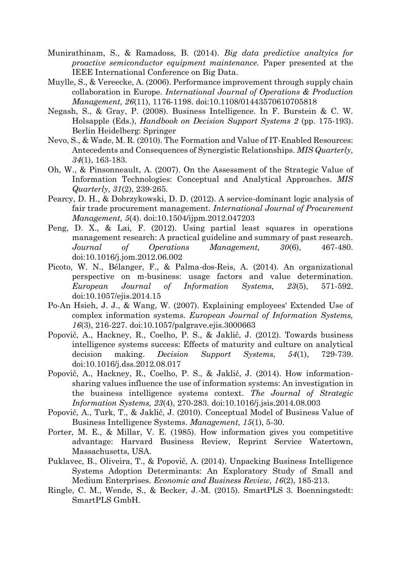- Munirathinam, S., & Ramadoss, B. (2014). *Big data predictive analtyics for proactive semiconductor equipment maintenance.* Paper presented at the IEEE International Conference on Big Data.
- Muylle, S., & Vereecke, A. (2006). Performance improvement through supply chain collaboration in Europe. *International Journal of Operations & Production Management, 26*(11), 1176-1198. doi:10.1108/01443570610705818
- Negash, S., & Gray, P. (2008). Business Intelligence. In F. Burstein & C. W. Holsapple (Eds.), *Handbook on Decision Support Systems 2* (pp. 175-193). Berlin Heidelberg: Springer
- Nevo, S., & Wade, M. R. (2010). The Formation and Value of IT-Enabled Resources: Antecedents and Consequences of Synergistic Relationships. *MIS Quarterly, 34*(1), 163-183.
- Oh, W., & Pinsonneault, A. (2007). On the Assessment of the Strategic Value of Information Technologies: Conceptual and Analytical Approaches. *MIS Quarterly, 31*(2), 239-265.
- Pearcy, D. H., & Dobrzykowski, D. D. (2012). A service-dominant logic analysis of fair trade procurement management. *International Journal of Procurement Management, 5*(4). doi:10.1504/ijpm.2012.047203
- Peng, D. X., & Lai, F. (2012). Using partial least squares in operations management research: A practical guideline and summary of past research. *Journal of Operations Management, 30*(6), 467-480. doi:10.1016/j.jom.2012.06.002
- Picoto, W. N., Bélanger, F., & Palma-dos-Reis, A. (2014). An organizational perspective on m-business: usage factors and value determination. *European Journal of Information Systems, 23*(5), 571-592. doi:10.1057/ejis.2014.15
- Po-An Hsieh, J. J., & Wang, W. (2007). Explaining employees' Extended Use of complex information systems. *European Journal of Information Systems, 16*(3), 216-227. doi:10.1057/palgrave.ejis.3000663
- Popovič, A., Hackney, R., Coelho, P. S., & Jaklič, J. (2012). Towards business intelligence systems success: Effects of maturity and culture on analytical decision making. *Decision Support Systems, 54*(1), 729-739. doi:10.1016/j.dss.2012.08.017
- Popovič, A., Hackney, R., Coelho, P. S., & Jaklič, J. (2014). How informationsharing values influence the use of information systems: An investigation in the business intelligence systems context. *The Journal of Strategic Information Systems, 23*(4), 270-283. doi:10.1016/j.jsis.2014.08.003
- Popovič, A., Turk, T., & Jaklič, J. (2010). Conceptual Model of Business Value of Business Intelligence Systems. *Management, 15*(1), 5-30.
- Porter, M. E., & Millar, V. E. (1985). How information gives you competitive advantage: Harvard Business Review, Reprint Service Watertown, Massachusetts, USA.
- Puklavec, B., Oliveira, T., & Popovič, A. (2014). Unpacking Business Intelligence Systems Adoption Determinants: An Exploratory Study of Small and Medium Enterprises. *Economic and Business Review, 16*(2), 185-213.
- Ringle, C. M., Wende, S., & Becker, J.-M. (2015). SmartPLS 3. Boenningstedt: SmartPLS GmbH.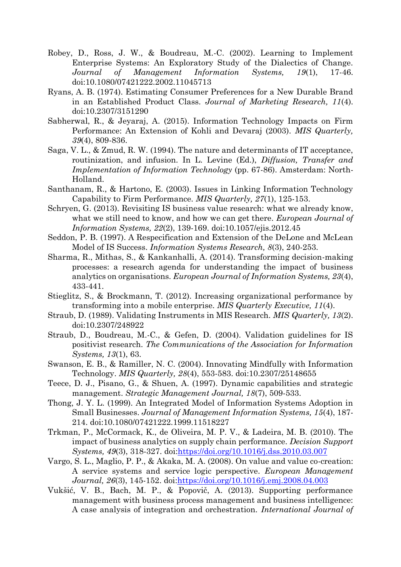- Robey, D., Ross, J. W., & Boudreau, M.-C. (2002). Learning to Implement Enterprise Systems: An Exploratory Study of the Dialectics of Change. *Journal of Management Information Systems, 19*(1), 17-46. doi:10.1080/07421222.2002.11045713
- Ryans, A. B. (1974). Estimating Consumer Preferences for a New Durable Brand in an Established Product Class. *Journal of Marketing Research, 11*(4). doi:10.2307/3151290
- Sabherwal, R., & Jeyaraj, A. (2015). Information Technology Impacts on Firm Performance: An Extension of Kohli and Devaraj (2003). *MIS Quarterly, 39*(4), 809-836.
- Saga, V. L., & Zmud, R. W. (1994). The nature and determinants of IT acceptance, routinization, and infusion. In L. Levine (Ed.), *Diffusion, Transfer and Implementation of Information Technology* (pp. 67-86). Amsterdam: North-Holland.
- Santhanam, R., & Hartono, E. (2003). Issues in Linking Information Technology Capability to Firm Performance. *MIS Quarterly, 27*(1), 125-153.
- Schryen, G. (2013). Revisiting IS business value research: what we already know, what we still need to know, and how we can get there. *European Journal of Information Systems, 22*(2), 139-169. doi:10.1057/ejis.2012.45
- Seddon, P. B. (1997). A Respecification and Extension of the DeLone and McLean Model of IS Success. *Information Systems Research, 8*(3), 240-253.
- Sharma, R., Mithas, S., & Kankanhalli, A. (2014). Transforming decision-making processes: a research agenda for understanding the impact of business analytics on organisations. *European Journal of Information Systems, 23*(4), 433-441.
- Stieglitz, S., & Brockmann, T. (2012). Increasing organizational performance by transforming into a mobile enterprise. *MIS Quarterly Executive, 11*(4).
- Straub, D. (1989). Validating Instruments in MIS Research. *MIS Quarterly, 13*(2). doi:10.2307/248922
- Straub, D., Boudreau, M.-C., & Gefen, D. (2004). Validation guidelines for IS positivist research. *The Communications of the Association for Information Systems, 13*(1), 63.
- Swanson, E. B., & Ramiller, N. C. (2004). Innovating Mindfully with Information Technology. *MIS Quarterly, 28*(4), 553-583. doi:10.2307/25148655
- Teece, D. J., Pisano, G., & Shuen, A. (1997). Dynamic capabilities and strategic management. *Strategic Management Journal, 18*(7), 509-533.
- Thong, J. Y. L. (1999). An Integrated Model of Information Systems Adoption in Small Businesses. *Journal of Management Information Systems, 15*(4), 187- 214. doi:10.1080/07421222.1999.11518227
- Trkman, P., McCormack, K., de Oliveira, M. P. V., & Ladeira, M. B. (2010). The impact of business analytics on supply chain performance. *Decision Support Systems, 49*(3), 318-327. doi[:https://doi.org/10.1016/j.dss.2010.03.007](https://doi.org/10.1016/j.dss.2010.03.007)
- Vargo, S. L., Maglio, P. P., & Akaka, M. A. (2008). On value and value co-creation: A service systems and service logic perspective. *European Management Journal, 26*(3), 145-152. doi[:https://doi.org/10.1016/j.emj.2008.04.003](https://doi.org/10.1016/j.emj.2008.04.003)
- Vukšić, V. B., Bach, M. P., & Popovič, A. (2013). Supporting performance management with business process management and business intelligence: A case analysis of integration and orchestration. *International Journal of*